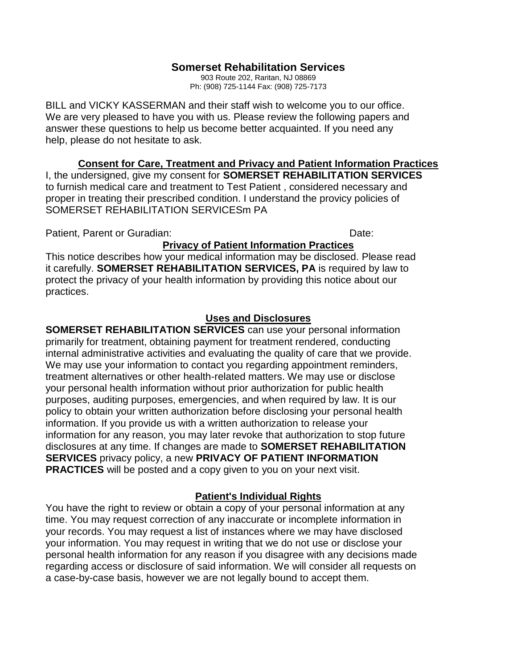# **Somerset Rehabilitation Services**

903 Route 202, Raritan, NJ 08869 Ph: (908) 725-1144 Fax: (908) 725-7173

BILL and VICKY KASSERMAN and their staff wish to welcome you to our office. We are very pleased to have you with us. Please review the following papers and answer these questions to help us become better acquainted. If you need any help, please do not hesitate to ask.

### **Consent for Care, Treatment and Privacy and Patient Information Practices**

I, the undersigned, give my consent for **SOMERSET REHABILITATION SERVICES** to furnish medical care and treatment to Test Patient , considered necessary and proper in treating their prescribed condition. I understand the provicy policies of SOMERSET REHABILITATION SERVICESm PA

Patient, Parent or Guradian: Date: Date: Date: Date: Date: Date: Date: Date: Date: Date: Date: Date: Date: Date: Date: Date: Date: Date: Date: Date: Date: Date: Date: Date: Date: Date: Date: Date: Date: Date: Date: Date: D

## **Privacy of Patient Information Practices**

This notice describes how your medical information may be disclosed. Please read it carefully. **SOMERSET REHABILITATION SERVICES, PA** is required by law to protect the privacy of your health information by providing this notice about our practices.

### **Uses and Disclosures**

# **SOMERSET REHABILITATION SERVICES** can use your personal information

primarily for treatment, obtaining payment for treatment rendered, conducting internal administrative activities and evaluating the quality of care that we provide. We may use your information to contact you regarding appointment reminders, treatment alternatives or other health-related matters. We may use or disclose your personal health information without prior authorization for public health purposes, auditing purposes, emergencies, and when required by law. It is our policy to obtain your written authorization before disclosing your personal health information. If you provide us with a written authorization to release your information for any reason, you may later revoke that authorization to stop future disclosures at any time. If changes are made to **SOMERSET REHABILITATION SERVICES** privacy policy, a new **PRIVACY OF PATIENT INFORMATION PRACTICES** will be posted and a copy given to you on your next visit.

### **Patient's Individual Rights**

You have the right to review or obtain a copy of your personal information at any time. You may request correction of any inaccurate or incomplete information in your records. You may request a list of instances where we may have disclosed your information. You may request in writing that we do not use or disclose your personal health information for any reason if you disagree with any decisions made regarding access or disclosure of said information. We will consider all requests on a case-by-case basis, however we are not legally bound to accept them.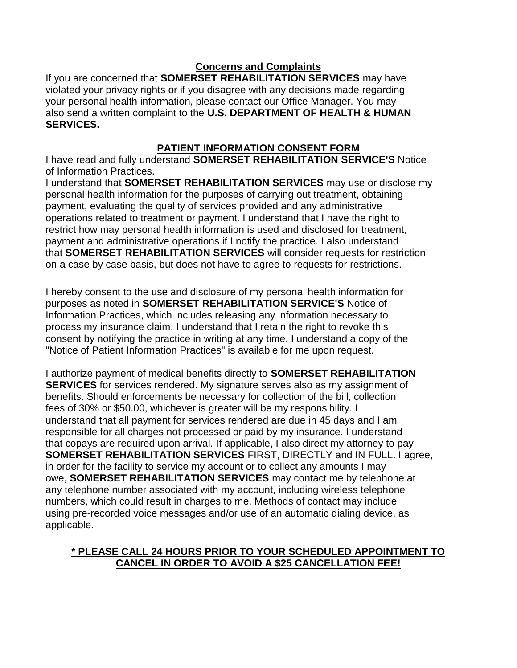# **Concerns and Complaints**

If you are concerned that **SOMERSET REHABILITATION SERVICES** may have violated your privacy rights or if you disagree with any decisions made regarding your personal health information, please contact our Office Manager. You may also send a written complaint to the **U.S. DEPARTMENT OF HEALTH & HUMAN SERVICES.**

# **PATIENT INFORMATION CONSENT FORM**

I have read and fully understand **SOMERSET REHABILITATION SERVICE'S** Notice of Information Practices.

I understand that **SOMERSET REHABILITATION SERVICES** may use or disclose my personal health information for the purposes of carrying out treatment, obtaining payment, evaluating the quality of services provided and any administrative operations related to treatment or payment. I understand that I have the right to restrict how may personal health information is used and disclosed for treatment, payment and administrative operations if I notify the practice. I also understand that **SOMERSET REHABILITATION SERVICES** will consider requests for restriction on a case by case basis, but does not have to agree to requests for restrictions.

I hereby consent to the use and disclosure of my personal health information for purposes as noted in **SOMERSET REHABILITATION SERVICE'S** Notice of Information Practices, which includes releasing any information necessary to process my insurance claim. I understand that I retain the right to revoke this consent by notifying the practice in writing at any time. I understand a copy of the "Notice of Patient Information Practices" is available for me upon request.

I authorize payment of medical benefits directly to **SOMERSET REHABILITATION SERVICES** for services rendered. My signature serves also as my assignment of benefits. Should enforcements be necessary for collection of the bill, collection fees of 30% or \$50.00, whichever is greater will be my responsibility. I understand that all payment for services rendered are due in 45 days and I am responsible for all charges not processed or paid by my insurance. I understand that copays are required upon arrival. If applicable, I also direct my attorney to pay **SOMERSET REHABILITATION SERVICES** FIRST, DIRECTLY and IN FULL. I agree, in order for the facility to service my account or to collect any amounts I may owe, **SOMERSET REHABILITATION SERVICES** may contact me by telephone at any telephone number associated with my account, including wireless telephone numbers, which could result in charges to me. Methods of contact may include using pre-recorded voice messages and/or use of an automatic dialing device, as applicable.

## **\* PLEASE CALL 24 HOURS PRIOR TO YOUR SCHEDULED APPOINTMENT TO CANCEL IN ORDER TO AVOID A \$25 CANCELLATION FEE!**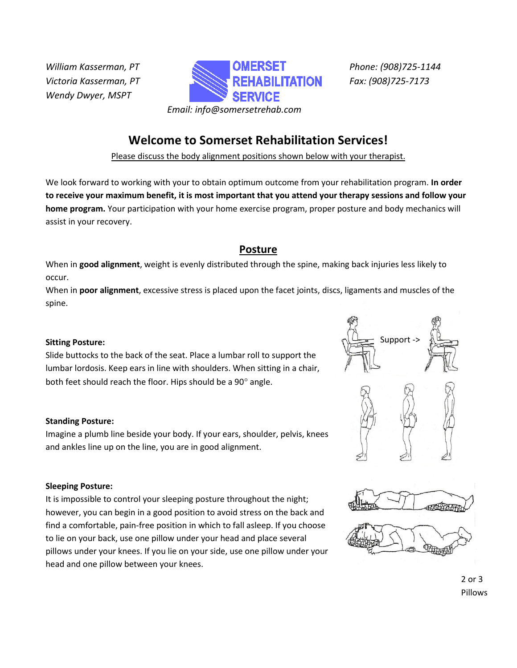*Wendy Dwyer, MSPT*



**Welcome to Somerset Rehabilitation Services!**

Please discuss the body alignment positions shown below with your therapist.

We look forward to working with your to obtain optimum outcome from your rehabilitation program. **In order to receive your maximum benefit, it is most important that you attend your therapy sessions and follow your home program.** Your participation with your home exercise program, proper posture and body mechanics will assist in your recovery.

# **Posture**

When in **good alignment**, weight is evenly distributed through the spine, making back injuries less likely to occur.

When in **poor alignment**, excessive stress is placed upon the facet joints, discs, ligaments and muscles of the spine.

### **Sitting Posture:**

Slide buttocks to the back of the seat. Place a lumbar roll to support the lumbar lordosis. Keep ears in line with shoulders. When sitting in a chair, both feet should reach the floor. Hips should be a  $90^\circ$  angle.

### **Standing Posture:**

Imagine a plumb line beside your body. If your ears, shoulder, pelvis, knees and ankles line up on the line, you are in good alignment.

### **Sleeping Posture:**

It is impossible to control your sleeping posture throughout the night; however, you can begin in a good position to avoid stress on the back and find a comfortable, pain-free position in which to fall asleep. If you choose to lie on your back, use one pillow under your head and place several pillows under your knees. If you lie on your side, use one pillow under your head and one pillow between your knees.



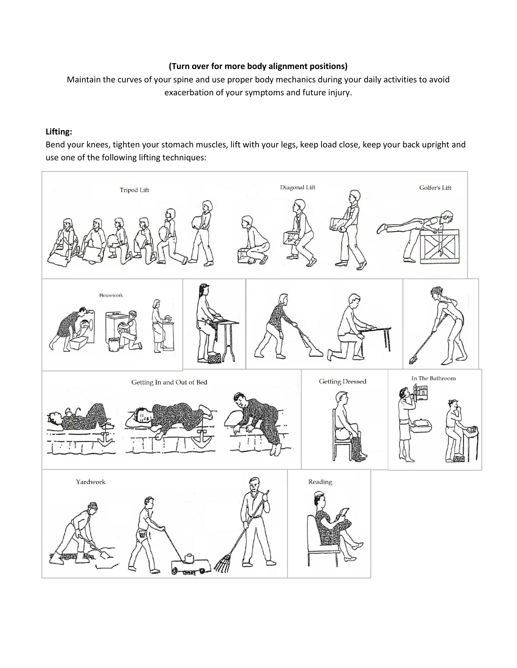### **(Turn over for more body alignment positions)**

Maintain the curves of your spine and use proper body mechanics during your daily activities to avoid exacerbation of your symptoms and future injury.

#### **Lifting:**

Bend your knees, tighten your stomach muscles, lift with your legs, keep load close, keep your back upright and use one of the following lifting techniques:

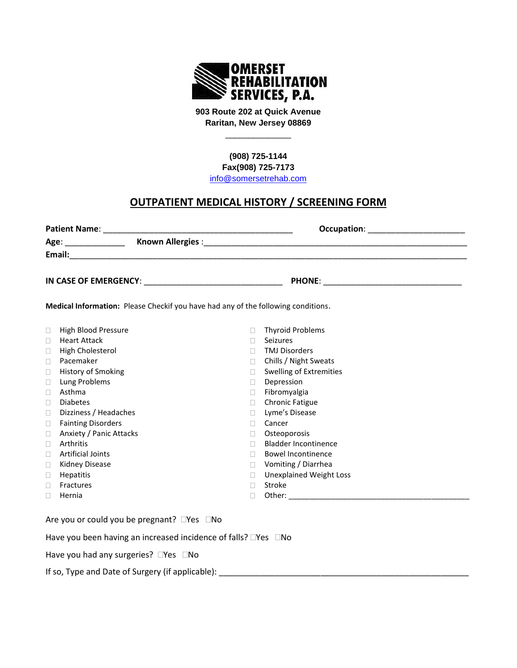

**903 Route 202 at Quick Avenue Raritan, New Jersey 08869**

\_\_\_\_\_\_\_\_\_\_\_\_\_\_

**(908) 725-1144 Fax(908) 725-7173**

[info@somersetrehab.com](mailto:info@somersetrehab.com)

# **OUTPATIENT MEDICAL HISTORY / SCREENING FORM**

| <b>Patient Name:</b> |  | Occupation: <u>________________________</u> |  |  |  |  |  |
|----------------------|--|---------------------------------------------|--|--|--|--|--|
| Age:                 |  |                                             |  |  |  |  |  |
| Email:               |  |                                             |  |  |  |  |  |
|                      |  | <b>PHONE:</b>                               |  |  |  |  |  |
|                      |  | $\cdots$                                    |  |  |  |  |  |

**Medical Information:** Please Checkif you have had any of the following conditions.

| $\Box$ | High Blood Pressure       |   | <b>Thyroid Problems</b>        |
|--------|---------------------------|---|--------------------------------|
| П      | <b>Heart Attack</b>       |   | <b>Seizures</b>                |
| $\Box$ | High Cholesterol          |   | <b>TMJ Disorders</b>           |
| $\Box$ | Pacemaker                 | Ш | Chills / Night Sweats          |
| $\Box$ | History of Smoking        |   | <b>Swelling of Extremities</b> |
| □      | Lung Problems             |   | Depression                     |
| $\Box$ | Asthma                    |   | Fibromyalgia                   |
| П      | <b>Diabetes</b>           |   | <b>Chronic Fatigue</b>         |
| $\Box$ | Dizziness / Headaches     |   | Lyme's Disease                 |
| $\Box$ | <b>Fainting Disorders</b> |   | Cancer                         |
| $\Box$ | Anxiety / Panic Attacks   |   | Osteoporosis                   |
| □      | Arthritis                 |   | <b>Bladder Incontinence</b>    |
| П      | <b>Artificial Joints</b>  | Ш | <b>Bowel Incontinence</b>      |
| $\Box$ | Kidney Disease            |   | Vomiting / Diarrhea            |
| □      | <b>Hepatitis</b>          |   | <b>Unexplained Weight Loss</b> |
| □      | Fractures                 |   | Stroke                         |
|        | Hernia                    |   | Other:                         |
|        |                           |   |                                |

Are you or could you be pregnant?  $\Box$ Yes  $\Box$ No

Have you been having an increased incidence of falls?  $\square$ Yes  $\square$ No

Have you had any surgeries?  $\Box$ Yes  $\Box$ No

If so, Type and Date of Surgery (if applicable): \_\_\_\_\_\_\_\_\_\_\_\_\_\_\_\_\_\_\_\_\_\_\_\_\_\_\_\_\_\_\_\_\_\_\_\_\_\_\_\_\_\_\_\_\_\_\_\_\_\_\_\_\_\_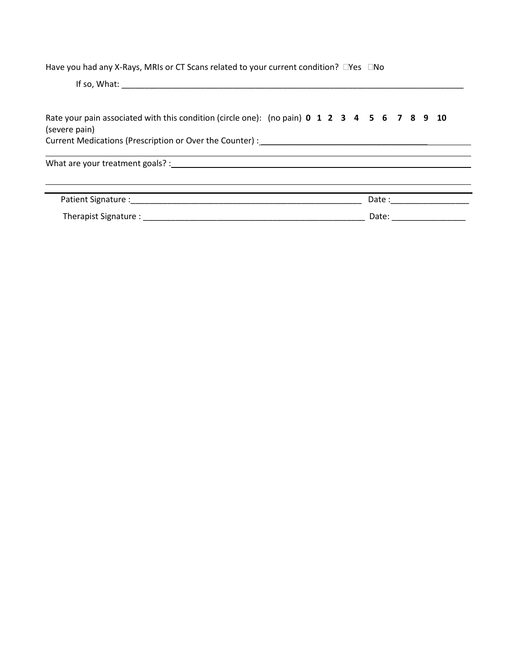Have you had any X-Rays, MRIs or CT Scans related to your current condition?  $\square$ Yes  $\square$ No

If so, What: \_\_\_\_\_\_\_\_\_\_\_\_\_\_\_\_\_\_\_\_\_\_\_\_\_\_\_\_\_\_\_\_\_\_\_\_\_\_\_\_\_\_\_\_\_\_\_\_\_\_\_\_\_\_\_\_\_\_\_\_\_\_\_\_\_\_\_\_\_\_\_\_\_\_

| Rate your pain associated with this condition (circle one): (no pain) 0 1 2 3 4 5 6 7 8 9 10<br>(severe pain)<br>Current Medications (Prescription or Over the Counter) : Manual Medications of the Counter of the Counter of the Counter of the Counter of the Counter of the Counter of the Counter of the Counter of the Counter of the Coun |  |  |  |       |  |                                                                                                                                                                                                                                |  |
|-------------------------------------------------------------------------------------------------------------------------------------------------------------------------------------------------------------------------------------------------------------------------------------------------------------------------------------------------|--|--|--|-------|--|--------------------------------------------------------------------------------------------------------------------------------------------------------------------------------------------------------------------------------|--|
| What are your treatment goals? : The contract of the contract of the contract of the contract of the contract of the contract of the contract of the contract of the contract of the contract of the contract of the contract                                                                                                                   |  |  |  |       |  |                                                                                                                                                                                                                                |  |
| Patient Signature : North Signature : North Signature : North Signature : North Signature : North Signature : North Signature : North Signature : North Signature : North Signature : North Signature : North Signature : Nort                                                                                                                  |  |  |  |       |  | Date: the contract of the contract of the contract of the contract of the contract of the contract of the contract of the contract of the contract of the contract of the contract of the contract of the contract of the cont |  |
| Therapist Signature : with a state of the state of the state of the state of the state of the state of the state of the state of the state of the state of the state of the state of the state of the state of the state of th                                                                                                                  |  |  |  | Date: |  |                                                                                                                                                                                                                                |  |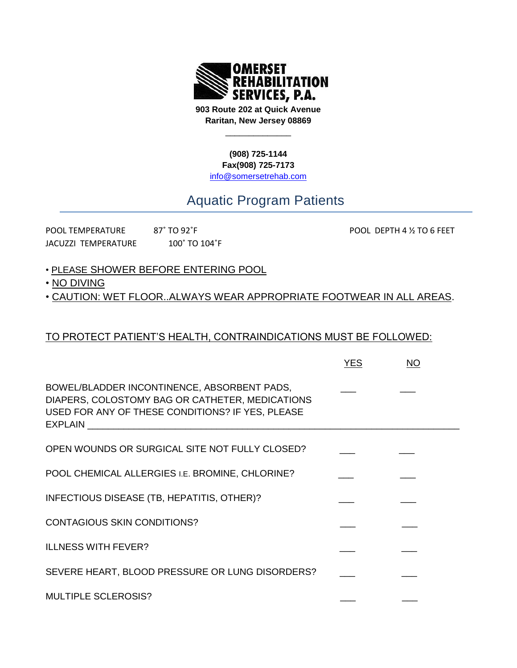

**903 Route 202 at Quick Avenue Raritan, New Jersey 08869**

\_\_\_\_\_\_\_\_\_\_\_\_\_\_

**(908) 725-1144 Fax(908) 725-7173** [info@somersetrehab.com](mailto:info@somersetrehab.com)

# Aquatic Program Patients

| <b>POOL TEMPERATURE</b>    | $87^\circ$ TO 92 $^\circ$ F |
|----------------------------|-----------------------------|
| <b>JACUZZI TEMPERATURE</b> | 100° TO 104°F               |

POOL DEPTH 4 ½ TO 6 FEET

- PLEASE SHOWER BEFORE ENTERING POOL
- NO DIVING

• CAUTION: WET FLOOR..ALWAYS WEAR APPROPRIATE FOOTWEAR IN ALL AREAS.

# TO PROTECT PATIENT'S HEALTH, CONTRAINDICATIONS MUST BE FOLLOWED:

|                                                                                                                                                                       | <b>YES</b> | NO |  |
|-----------------------------------------------------------------------------------------------------------------------------------------------------------------------|------------|----|--|
| BOWEL/BLADDER INCONTINENCE, ABSORBENT PADS,<br>DIAPERS, COLOSTOMY BAG OR CATHETER, MEDICATIONS<br>USED FOR ANY OF THESE CONDITIONS? IF YES, PLEASE<br>EXPLAIN EXPLAIN |            |    |  |
| OPEN WOUNDS OR SURGICAL SITE NOT FULLY CLOSED?                                                                                                                        |            |    |  |
| POOL CHEMICAL ALLERGIES I.E. BROMINE, CHLORINE?                                                                                                                       |            |    |  |
| INFECTIOUS DISEASE (TB, HEPATITIS, OTHER)?                                                                                                                            |            |    |  |
| <b>CONTAGIOUS SKIN CONDITIONS?</b>                                                                                                                                    |            |    |  |
| <b>ILLNESS WITH FEVER?</b>                                                                                                                                            |            |    |  |
| SEVERE HEART, BLOOD PRESSURE OR LUNG DISORDERS?                                                                                                                       |            |    |  |
| <b>MULTIPLE SCLEROSIS?</b>                                                                                                                                            |            |    |  |